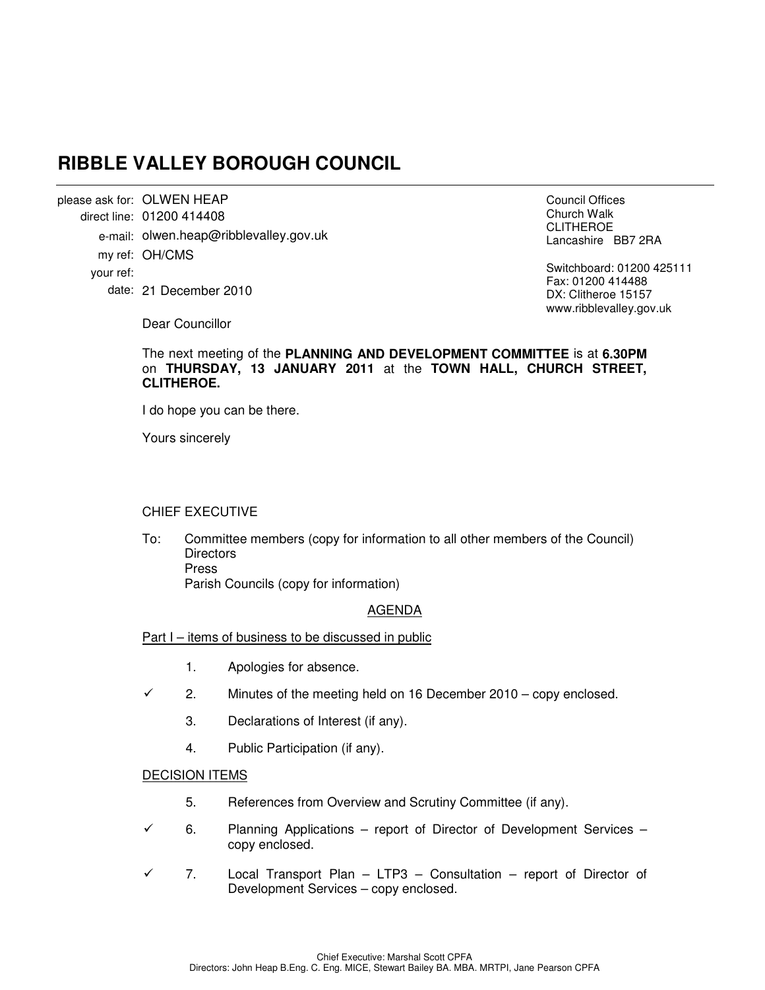# **RIBBLE VALLEY BOROUGH COUNCIL**

please ask for: OLWEN HEAP 01200 414408 direct line: e-mail: olwen.heap@ribblevalley.gov.uk my ref: OH/CMS 21 December 2010 date: your ref:

Council Offices Church Walk CLITHEROE Lancashire BB7 2RA

Switchboard: 01200 425111 Fax: 01200 414488 DX: Clitheroe 15157 www.ribblevalley.gov.uk

Dear Councillor

#### The next meeting of the **PLANNING AND DEVELOPMENT COMMITTEE** is at **6.30PM** on **THURSDAY, 13 JANUARY 2011** at the **TOWN HALL, CHURCH STREET, CLITHEROE.**

I do hope you can be there.

Yours sincerely

### CHIEF EXECUTIVE

To: Committee members (copy for information to all other members of the Council) **Directors**  Press Parish Councils (copy for information)

### AGENDA

Part I – items of business to be discussed in public

- 1. Apologies for absence.
- $\checkmark$  2. Minutes of the meeting held on 16 December 2010 copy enclosed.
	- 3. Declarations of Interest (if any).
	- 4. Public Participation (if any).

#### DECISION ITEMS

- 5. References from Overview and Scrutiny Committee (if any).
- 6. Planning Applications report of Director of Development Services copy enclosed.
- $\checkmark$  7. Local Transport Plan LTP3 Consultation report of Director of Development Services – copy enclosed.